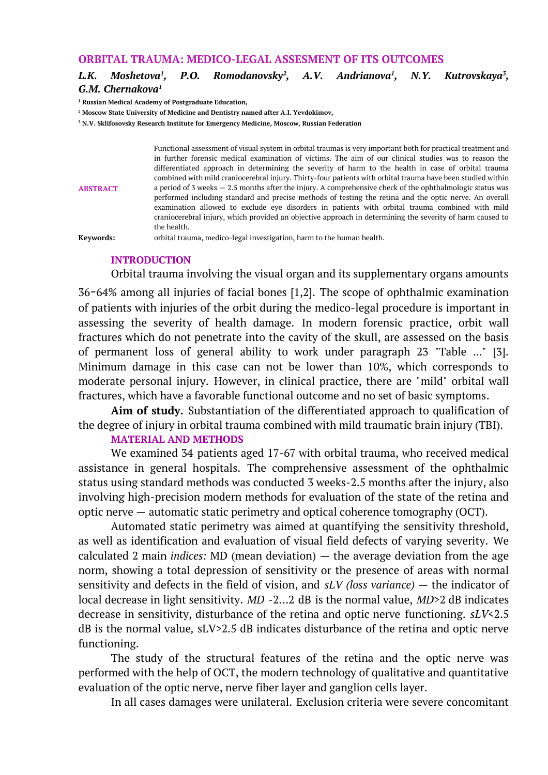## **ORBITAL TRAUMA: MEDICO-LEGAL ASSESMENT OF ITS OUTCOMES**

#### *L.K. Moshetova<sup>1</sup> , P.O. Romodanovsky<sup>2</sup> , A.V. Andrianova<sup>1</sup> , N.Y. Kutrovskaya<sup>3</sup> , G.M. Chernakova<sup>1</sup>*

**<sup>1</sup> Russian Medical Academy of Postgraduate Education,** 

**<sup>2</sup> Moscow State University of Medicine and Dentistry named after A.I. Yevdokimov,**

**<sup>3</sup> N.V. Sklifosovsky Researсh Institute for Emergency Medicine, Moscow, Russian Federation**

**ABSTRACT** Functional assessment of visual system in orbital traumas is very important both for practical treatment and in further forensic medical examination of victims. The aim of our clinical studies was to reason the differentiated approach in determining the severity of harm to the health in case of orbital trauma combined with mild craniocerebral injury. Thirty-four patients with orbital trauma have been studied within a period of 3 weeks  $-2.5$  months after the injury. A comprehensive check of the ophthalmologic status was performed including standard and precise methods of testing the retina and the optic nerve. An overall examination allowed to exclude eye disorders in patients with orbital trauma combined with mild craniocerebral injury, which provided an objective approach in determining the severity of harm caused to the health.

**Keywords:** orbital trauma, medico-legal investigation, harm to the human health.

### **INTRODUCTION**

Orbital trauma involving the visual organ and its supplementary organs amounts 36-64% among all injuries of facial bones [1,2]. The scope of ophthalmic examination of patients with injuries of the orbit during the medico-legal procedure is important in assessing the severity of health damage. In modern forensic practice, orbit wall fractures which do not penetrate into the cavity of the skull, are assessed on the basis of permanent loss of general ability to work under paragraph 23 "Table ..." [3]. Minimum damage in this case can not be lower than 10%, which corresponds to moderate personal injury. However, in clinical practice, there are "mild" orbital wall fractures, which have a favorable functional outcome and no set of basic symptoms.

**Aim of study.** Substantiation of the differentiated approach to qualification of the degree of injury in orbital trauma combined with mild traumatic brain injury (TBI).

## **MATERIAL AND METHODS**

We examined 34 patients aged 17-67 with orbital trauma, who received medical assistance in general hospitals. The comprehensive assessment of the ophthalmic status using standard methods was conducted 3 weeks-2.5 months after the injury, also involving high-precision modern methods for evaluation of the state of the retina and optic nerve — automatic static perimetry and optical coherence tomography (OCT).

Automated static perimetry was aimed at quantifying the sensitivity threshold, as well as identification and evaluation of visual field defects of varying severity. We calculated 2 main *indices:* MD (mean deviation) — the average deviation from the age norm, showing a total depression of sensitivity or the presence of areas with normal sensitivity and defects in the field of vision, and *sLV (loss variance)* — the indicator of local decrease in light sensitivity. *MD* -2…2 dB is the normal value, *MD*>2 dB indicates decrease in sensitivity, disturbance of the retina and optic nerve functioning. *sLV*<2.5 dB is the normal value*,* sLV>2.5 dB indicates disturbance of the retina and optic nerve functioning.

The study of the structural features of the retina and the optic nerve was performed with the help of OCT, the modern technology of qualitative and quantitative evaluation of the optic nerve, nerve fiber layer and ganglion cells layer.

In all cases damages were unilateral. Exclusion criteria were severe concomitant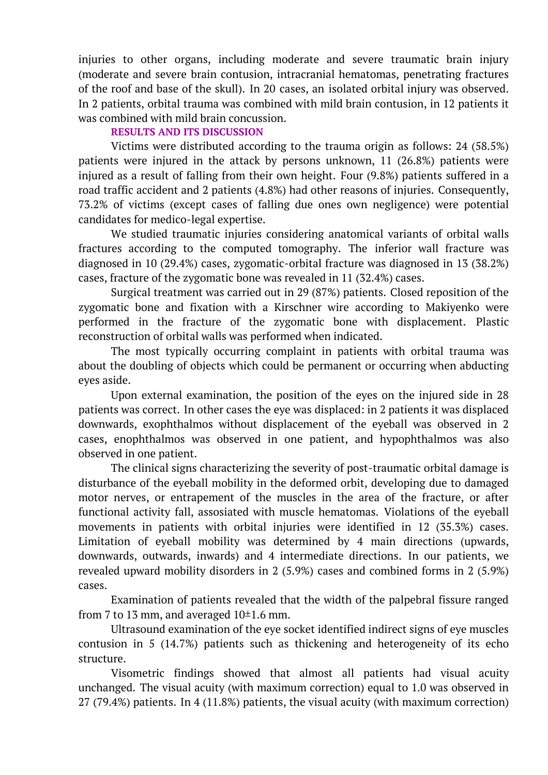injuries to other organs, including moderate and severe traumatic brain injury (moderate and severe brain contusion, intracranial hematomas, penetrating fractures of the roof and base of the skull). In 20 cases, an isolated orbital injury was observed. In 2 patients, orbital trauma was combined with mild brain contusion, in 12 patients it was combined with mild brain concussion.

# **RESULTS AND ITS DISCUSSION**

Victims were distributed according to the trauma origin as follows: 24 (58.5%) patients were injured in the attack by persons unknown, 11 (26.8%) patients were injured as a result of falling from their own height. Four (9.8%) patients suffered in a road traffic accident and 2 patients (4.8%) had other reasons of injuries. Consequently, 73.2% of victims (except cases of falling due ones own negligence) were potential candidates for medico-legal expertise.

We studied traumatic injuries considering anatomical variants of orbital walls fractures according to the computed tomography. The inferior wall fracture was diagnosed in 10 (29.4%) cases, zygomatic-orbital fracture was diagnosed in 13 (38.2%) cases, fracture of the zygomatic bone was revealed in 11 (32.4%) cases.

Surgical treatment was carried out in 29 (87%) patients. Closed reposition of the zygomatic bone and fixation with a Kirschner wire according to Makiyenko were performed in the fracture of the zygomatic bone with displacement. Plastic reconstruction of orbital walls was performed when indicated.

The most typically occurring complaint in patients with orbital trauma was about the doubling of objects which could be permanent or occurring when abducting eyes aside.

Upon external examination, the position of the eyes on the injured side in 28 patients was correct. In other cases the eye was displaced: in 2 patients it was displaced downwards, exophthalmos without displacement of the eyeball was observed in 2 cases, enophthalmos was observed in one patient, and hypophthalmos was also observed in one patient.

The clinical signs characterizing the severity of post-traumatic orbital damage is disturbance of the eyeball mobility in the deformed orbit, developing due to damaged motor nerves, or entrapement of the muscles in the area of the fracture, or after functional activity fall, assosiated with muscle hematomas. Violations of the eyeball movements in patients with orbital injuries were identified in 12 (35.3%) cases. Limitation of eyeball mobility was determined by 4 main directions (upwards, downwards, outwards, inwards) and 4 intermediate directions. In our patients, we revealed upward mobility disorders in 2 (5.9%) cases and combined forms in 2 (5.9%) cases.

Examination of patients revealed that the width of the palpebral fissure ranged from 7 to 13 mm, and averaged  $10\pm1.6$  mm.

Ultrasound examination of the eye socket identified indirect signs of eye muscles contusion in 5 (14.7%) patients such as thickening and heterogeneity of its echo structure.

Visometric findings showed that almost all patients had visual acuity unchanged. The visual acuity (with maximum correction) equal to 1.0 was observed in 27 (79.4%) patients. In 4 (11.8%) patients, the visual acuity (with maximum correction)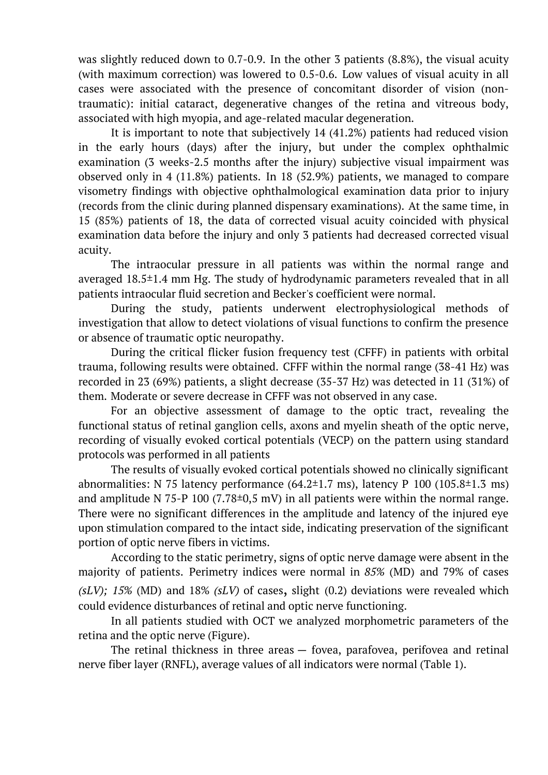was slightly reduced down to 0.7-0.9. In the other 3 patients (8.8%), the visual acuity (with maximum correction) was lowered to 0.5-0.6. Low values of visual acuity in all cases were associated with the presence of concomitant disorder of vision (nontraumatic): initial cataract, degenerative changes of the retina and vitreous body, associated with high myopia, and age-related macular degeneration.

It is important to note that subjectively 14 (41.2%) patients had reduced vision in the early hours (days) after the injury, but under the complex ophthalmic examination (3 weeks-2.5 months after the injury) subjective visual impairment was observed only in 4 (11.8%) patients. In 18 (52.9%) patients, we managed to compare visometry findings with objective ophthalmological examination data prior to injury (records from the clinic during planned dispensary examinations). At the same time, in 15 (85%) patients of 18, the data of corrected visual acuity coincided with physical examination data before the injury and only 3 patients had decreased corrected visual acuity.

The intraocular pressure in all patients was within the normal range and averaged 18.5±1.4 mm Hg. The study of hydrodynamic parameters revealed that in all patients intraocular fluid secretion and Becker's coefficient were normal.

During the study, patients underwent electrophysiological methods of investigation that allow to detect violations of visual functions to confirm the presence or absence of traumatic optic neuropathy.

During the critical flicker fusion frequency test (CFFF) in patients with orbital trauma, following results were obtained. CFFF within the normal range (38-41 Hz) was recorded in 23 (69%) patients, a slight decrease (35-37 Hz) was detected in 11 (31%) of them. Moderate or severe decrease in CFFF was not observed in any case.

For an objective assessment of damage to the optic tract, revealing the functional status of retinal ganglion cells, axons and myelin sheath of the optic nerve, recording of visually evoked cortical potentials (VECP) on the pattern using standard protocols was performed in all patients

The results of visually evoked cortical potentials showed no clinically significant abnormalities: N 75 latency performance  $(64.2 \pm 1.7 \text{ ms})$ , latency P 100  $(105.8 \pm 1.3 \text{ ms})$ and amplitude N 75-P 100 (7.78 $\pm$ 0,5 mV) in all patients were within the normal range. There were no significant differences in the amplitude and latency of the injured eye upon stimulation compared to the intact side, indicating preservation of the significant portion of optic nerve fibers in victims.

According to the static perimetry, signs of optic nerve damage were absent in the majority of patients. Perimetry indices were normal in *85%* (MD) and 79% of cases *(sLV); 15%* (MD) and 18% *(sLV)* of cases, slight (0.2) deviations were revealed which could evidence disturbances of retinal and optic nerve functioning.

In all patients studied with OCT we analyzed morphometric parameters of the retina and the optic nerve (Figure).

The retinal thickness in three areas — fovea, parafovea, perifovea and retinal nerve fiber layer (RNFL), average values of all indicators were normal (Table 1).